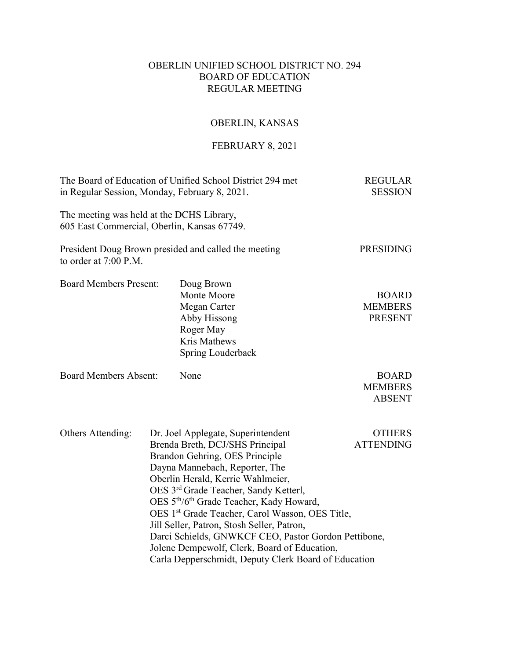# OBERLIN UNIFIED SCHOOL DISTRICT NO. 294 BOARD OF EDUCATION REGULAR MEETING

# OBERLIN, KANSAS

# FEBRUARY 8, 2021

| The Board of Education of Unified School District 294 met<br>in Regular Session, Monday, February 8, 2021. |                                                                                                                                                                                                                                                                                                                                                                                                                                                                                                                                                                          |                                                                                                                    | <b>REGULAR</b><br><b>SESSION</b>                 |
|------------------------------------------------------------------------------------------------------------|--------------------------------------------------------------------------------------------------------------------------------------------------------------------------------------------------------------------------------------------------------------------------------------------------------------------------------------------------------------------------------------------------------------------------------------------------------------------------------------------------------------------------------------------------------------------------|--------------------------------------------------------------------------------------------------------------------|--------------------------------------------------|
| The meeting was held at the DCHS Library,<br>605 East Commercial, Oberlin, Kansas 67749.                   |                                                                                                                                                                                                                                                                                                                                                                                                                                                                                                                                                                          |                                                                                                                    |                                                  |
| to order at 7:00 P.M.                                                                                      |                                                                                                                                                                                                                                                                                                                                                                                                                                                                                                                                                                          | President Doug Brown presided and called the meeting                                                               | <b>PRESIDING</b>                                 |
| <b>Board Members Present:</b>                                                                              |                                                                                                                                                                                                                                                                                                                                                                                                                                                                                                                                                                          | Doug Brown<br>Monte Moore<br>Megan Carter<br>Abby Hissong<br>Roger May<br><b>Kris Mathews</b><br>Spring Louderback | <b>BOARD</b><br><b>MEMBERS</b><br><b>PRESENT</b> |
| <b>Board Members Absent:</b>                                                                               |                                                                                                                                                                                                                                                                                                                                                                                                                                                                                                                                                                          | None                                                                                                               | <b>BOARD</b><br><b>MEMBERS</b><br><b>ABSENT</b>  |
| Others Attending:                                                                                          | Dr. Joel Applegate, Superintendent<br>Brenda Breth, DCJ/SHS Principal<br>Brandon Gehring, OES Principle<br>Dayna Mannebach, Reporter, The<br>Oberlin Herald, Kerrie Wahlmeier,<br>OES 3rd Grade Teacher, Sandy Ketterl,<br>OES 5 <sup>th</sup> /6 <sup>th</sup> Grade Teacher, Kady Howard,<br>OES 1 <sup>st</sup> Grade Teacher, Carol Wasson, OES Title,<br>Jill Seller, Patron, Stosh Seller, Patron,<br>Darci Schields, GNWKCF CEO, Pastor Gordon Pettibone,<br>Jolene Dempewolf, Clerk, Board of Education,<br>Carla Depperschmidt, Deputy Clerk Board of Education |                                                                                                                    | <b>OTHERS</b><br><b>ATTENDING</b>                |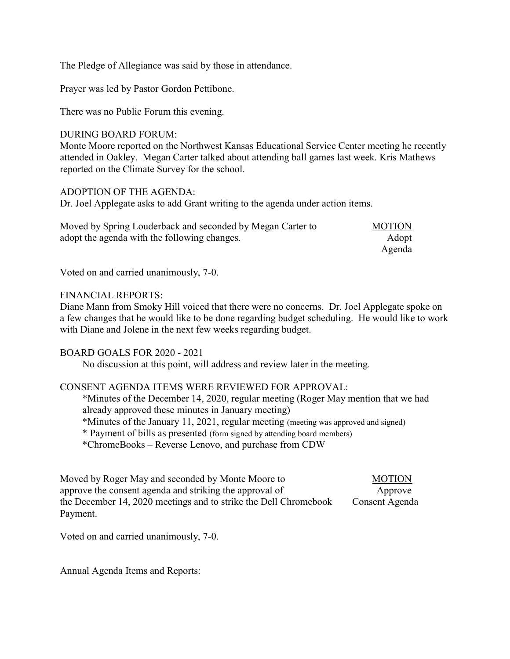The Pledge of Allegiance was said by those in attendance.

Prayer was led by Pastor Gordon Pettibone.

There was no Public Forum this evening.

#### DURING BOARD FORUM:

Monte Moore reported on the Northwest Kansas Educational Service Center meeting he recently attended in Oakley. Megan Carter talked about attending ball games last week. Kris Mathews reported on the Climate Survey for the school.

#### ADOPTION OF THE AGENDA:

Dr. Joel Applegate asks to add Grant writing to the agenda under action items.

| Moved by Spring Louderback and seconded by Megan Carter to | <b>MOTION</b> |
|------------------------------------------------------------|---------------|
| adopt the agenda with the following changes.               | Adopt         |
|                                                            | Agenda        |

Voted on and carried unanimously, 7-0.

#### FINANCIAL REPORTS:

Diane Mann from Smoky Hill voiced that there were no concerns. Dr. Joel Applegate spoke on a few changes that he would like to be done regarding budget scheduling. He would like to work with Diane and Jolene in the next few weeks regarding budget.

### BOARD GOALS FOR 2020 - 2021

No discussion at this point, will address and review later in the meeting.

### CONSENT AGENDA ITEMS WERE REVIEWED FOR APPROVAL:

\*Minutes of the December 14, 2020, regular meeting (Roger May mention that we had already approved these minutes in January meeting) \*Minutes of the January 11, 2021, regular meeting (meeting was approved and signed) \* Payment of bills as presented (form signed by attending board members) \*ChromeBooks – Reverse Lenovo, and purchase from CDW

Moved by Roger May and seconded by Monte Moore to MOTION approve the consent agenda and striking the approval of Approve the December 14, 2020 meetings and to strike the Dell Chromebook Consent Agenda Payment.

Voted on and carried unanimously, 7-0.

Annual Agenda Items and Reports: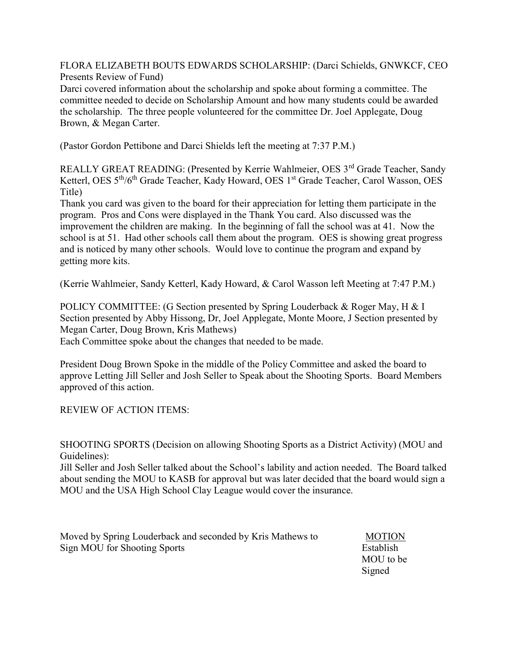FLORA ELIZABETH BOUTS EDWARDS SCHOLARSHIP: (Darci Schields, GNWKCF, CEO Presents Review of Fund)

Darci covered information about the scholarship and spoke about forming a committee. The committee needed to decide on Scholarship Amount and how many students could be awarded the scholarship. The three people volunteered for the committee Dr. Joel Applegate, Doug Brown, & Megan Carter.

(Pastor Gordon Pettibone and Darci Shields left the meeting at 7:37 P.M.)

REALLY GREAT READING: (Presented by Kerrie Wahlmeier, OES 3<sup>rd</sup> Grade Teacher, Sandy Ketterl, OES 5<sup>th</sup>/6<sup>th</sup> Grade Teacher, Kady Howard, OES 1<sup>st</sup> Grade Teacher, Carol Wasson, OES Title)

Thank you card was given to the board for their appreciation for letting them participate in the program. Pros and Cons were displayed in the Thank You card. Also discussed was the improvement the children are making. In the beginning of fall the school was at 41. Now the school is at 51. Had other schools call them about the program. OES is showing great progress and is noticed by many other schools. Would love to continue the program and expand by getting more kits.

(Kerrie Wahlmeier, Sandy Ketterl, Kady Howard, & Carol Wasson left Meeting at 7:47 P.M.)

POLICY COMMITTEE: (G Section presented by Spring Louderback & Roger May, H & I Section presented by Abby Hissong, Dr, Joel Applegate, Monte Moore, J Section presented by Megan Carter, Doug Brown, Kris Mathews) Each Committee spoke about the changes that needed to be made.

President Doug Brown Spoke in the middle of the Policy Committee and asked the board to approve Letting Jill Seller and Josh Seller to Speak about the Shooting Sports. Board Members approved of this action.

REVIEW OF ACTION ITEMS:

SHOOTING SPORTS (Decision on allowing Shooting Sports as a District Activity) (MOU and Guidelines):

Jill Seller and Josh Seller talked about the School's lability and action needed. The Board talked about sending the MOU to KASB for approval but was later decided that the board would sign a MOU and the USA High School Clay League would cover the insurance.

Moved by Spring Louderback and seconded by Kris Mathews to MOTION Sign MOU for Shooting Sports Establish

 MOU to be Signed Signed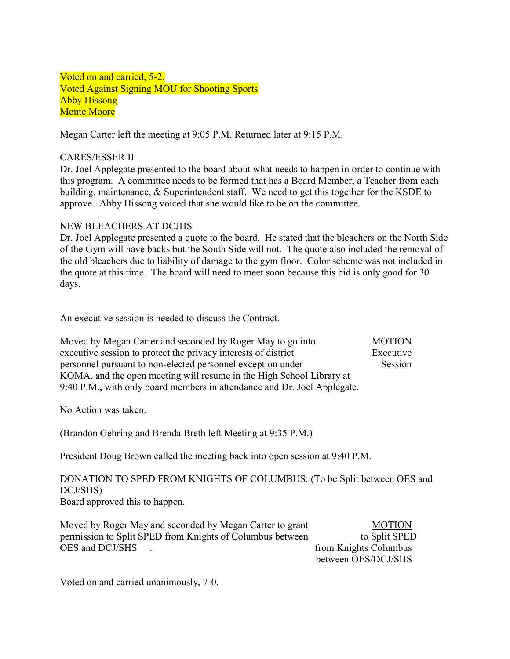Voted on and carried, 5-2. Voted Against Signing MOU for Shooting Sports Abby Hissong Monte Moore

Megan Carter left the meeting at 9:05 P.M. Returned later at 9:15 P.M.

## CARES/ESSER II

Dr. Joel Applegate presented to the board about what needs to happen in order to continue with this program. A committee needs to be formed that has a Board Member, a Teacher from each building, maintenance, & Superintendent staff. We need to get this together for the KSDE to approve. Abby Hissong voiced that she would like to be on the committee.

## NEW BLEACHERS AT DCJHS

Dr. Joel Applegate presented a quote to the board. He stated that the bleachers on the North Side of the Gym will have backs but the South Side will not. The quote also included the removal of the old bleachers due to liability of damage to the gym floor. Color scheme was not included in the quote at this time. The board will need to meet soon because this bid is only good for 30 days.

An executive session is needed to discuss the Contract.

| Moved by Megan Carter and seconded by Roger May to go into               | <b>MOTION</b> |
|--------------------------------------------------------------------------|---------------|
| executive session to protect the privacy interests of district           | Executive     |
| personnel pursuant to non-elected personnel exception under              | Session       |
| KOMA, and the open meeting will resume in the High School Library at     |               |
| 9:40 P.M., with only board members in attendance and Dr. Joel Applegate. |               |

No Action was taken.

(Brandon Gehring and Brenda Breth left Meeting at 9:35 P.M.)

President Doug Brown called the meeting back into open session at 9:40 P.M.

DONATION TO SPED FROM KNIGHTS OF COLUMBUS: (To be Split between OES and DCJ/SHS)

Board approved this to happen.

| Moved by Roger May and seconded by Megan Carter to grant  | <b>MOTION</b>         |
|-----------------------------------------------------------|-----------------------|
| permission to Split SPED from Knights of Columbus between | to Split SPED         |
| OES and DCJ/SHS                                           | from Knights Columbus |
|                                                           | between OES/DCJ/SHS   |

Voted on and carried unanimously, 7-0.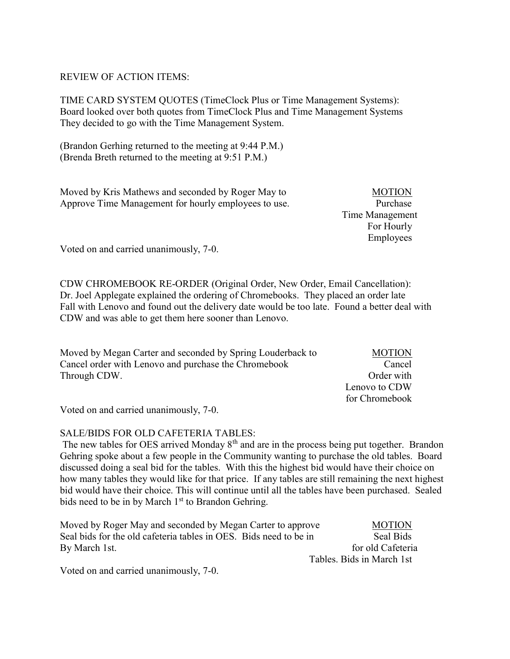## REVIEW OF ACTION ITEMS:

TIME CARD SYSTEM QUOTES (TimeClock Plus or Time Management Systems): Board looked over both quotes from TimeClock Plus and Time Management Systems They decided to go with the Time Management System.

(Brandon Gerhing returned to the meeting at 9:44 P.M.) (Brenda Breth returned to the meeting at 9:51 P.M.)

Moved by Kris Mathews and seconded by Roger May to MOTION Approve Time Management for hourly employees to use. Purchase

 Time Management For Hourly Employees

Voted on and carried unanimously, 7-0.

CDW CHROMEBOOK RE-ORDER (Original Order, New Order, Email Cancellation): Dr. Joel Applegate explained the ordering of Chromebooks. They placed an order late Fall with Lenovo and found out the delivery date would be too late. Found a better deal with CDW and was able to get them here sooner than Lenovo.

| Moved by Megan Carter and seconded by Spring Louderback to | <b>MOTION</b>  |
|------------------------------------------------------------|----------------|
| Cancel order with Lenovo and purchase the Chromebook       | Cancel         |
| Through CDW.                                               | Order with     |
|                                                            | Lenovo to CDW  |
|                                                            | for Chromebook |

Voted on and carried unanimously, 7-0.

### SALE/BIDS FOR OLD CAFETERIA TABLES:

The new tables for OES arrived Monday  $8<sup>th</sup>$  and are in the process being put together. Brandon Gehring spoke about a few people in the Community wanting to purchase the old tables. Board discussed doing a seal bid for the tables. With this the highest bid would have their choice on how many tables they would like for that price. If any tables are still remaining the next highest bid would have their choice. This will continue until all the tables have been purchased. Sealed bids need to be in by March  $1<sup>st</sup>$  to Brandon Gehring.

| Moved by Roger May and seconded by Megan Carter to approve        | <b>MOTION</b>             |
|-------------------------------------------------------------------|---------------------------|
| Seal bids for the old cafeteria tables in OES. Bids need to be in | Seal Bids                 |
| By March 1st.                                                     | for old Cafeteria         |
|                                                                   | Tables. Bids in March 1st |

Voted on and carried unanimously, 7-0.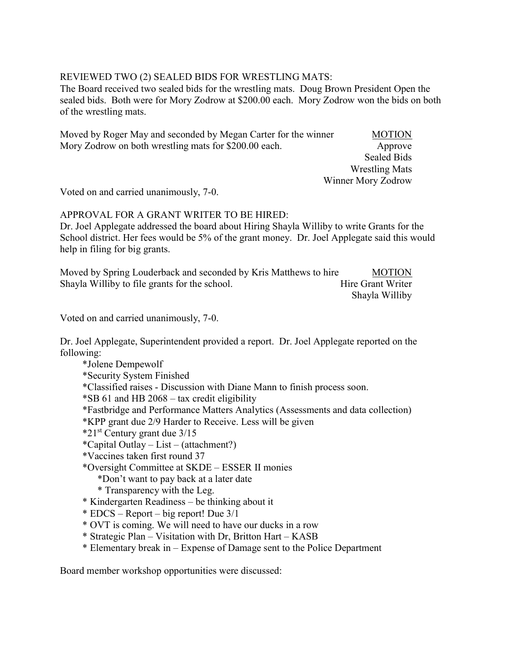# REVIEWED TWO (2) SEALED BIDS FOR WRESTLING MATS:

The Board received two sealed bids for the wrestling mats. Doug Brown President Open the sealed bids. Both were for Mory Zodrow at \$200.00 each. Mory Zodrow won the bids on both of the wrestling mats.

Moved by Roger May and seconded by Megan Carter for the winner MOTION Mory Zodrow on both wrestling mats for \$200.00 each. Approve

 Sealed Bids Wrestling Mats Winner Mory Zodrow

Voted on and carried unanimously, 7-0.

## APPROVAL FOR A GRANT WRITER TO BE HIRED:

Dr. Joel Applegate addressed the board about Hiring Shayla Williby to write Grants for the School district. Her fees would be 5% of the grant money. Dr. Joel Applegate said this would help in filing for big grants.

Moved by Spring Louderback and seconded by Kris Matthews to hire MOTION Shayla Williby to file grants for the school. Hire Grant Writer Shayla Williby

Voted on and carried unanimously, 7-0.

Dr. Joel Applegate, Superintendent provided a report. Dr. Joel Applegate reported on the following:

 \*Jolene Dempewolf \*Security System Finished \*Classified raises - Discussion with Diane Mann to finish process soon. \*SB 61 and HB 2068 – tax credit eligibility \*Fastbridge and Performance Matters Analytics (Assessments and data collection) \*KPP grant due 2/9 Harder to Receive. Less will be given  $*21$ <sup>st</sup> Century grant due  $3/15$  \*Capital Outlay – List – (attachment?) \*Vaccines taken first round 37 \*Oversight Committee at SKDE – ESSER II monies \*Don't want to pay back at a later date \* Transparency with the Leg. \* Kindergarten Readiness – be thinking about it \* EDCS – Report – big report! Due 3/1 \* OVT is coming. We will need to have our ducks in a row

- \* Strategic Plan Visitation with Dr, Britton Hart KASB
- \* Elementary break in Expense of Damage sent to the Police Department

Board member workshop opportunities were discussed: